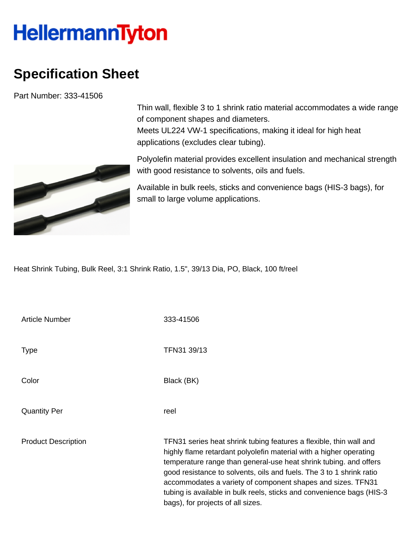## **HellermannTyton**

## **Specification Sheet**

Part Number: 333-41506



Thin wall, flexible 3 to 1 shrink ratio material accommodates a wide range of component shapes and diameters. Meets UL224 VW-1 specifications, making it ideal for high heat applications (excludes clear tubing).

Polyolefin material provides excellent insulation and mechanical strength with good resistance to solvents, oils and fuels.

Available in bulk reels, sticks and convenience bags (HIS-3 bags), for small to large volume applications.

Heat Shrink Tubing, Bulk Reel, 3:1 Shrink Ratio, 1.5", 39/13 Dia, PO, Black, 100 ft/reel

| <b>Article Number</b>      | 333-41506                                                                                                                                                                                                                                                                                                                                                                                                                                                          |
|----------------------------|--------------------------------------------------------------------------------------------------------------------------------------------------------------------------------------------------------------------------------------------------------------------------------------------------------------------------------------------------------------------------------------------------------------------------------------------------------------------|
| <b>Type</b>                | TFN31 39/13                                                                                                                                                                                                                                                                                                                                                                                                                                                        |
| Color                      | Black (BK)                                                                                                                                                                                                                                                                                                                                                                                                                                                         |
| <b>Quantity Per</b>        | reel                                                                                                                                                                                                                                                                                                                                                                                                                                                               |
| <b>Product Description</b> | TFN31 series heat shrink tubing features a flexible, thin wall and<br>highly flame retardant polyolefin material with a higher operating<br>temperature range than general-use heat shrink tubing. and offers<br>good resistance to solvents, oils and fuels. The 3 to 1 shrink ratio<br>accommodates a variety of component shapes and sizes. TFN31<br>tubing is available in bulk reels, sticks and convenience bags (HIS-3<br>bags), for projects of all sizes. |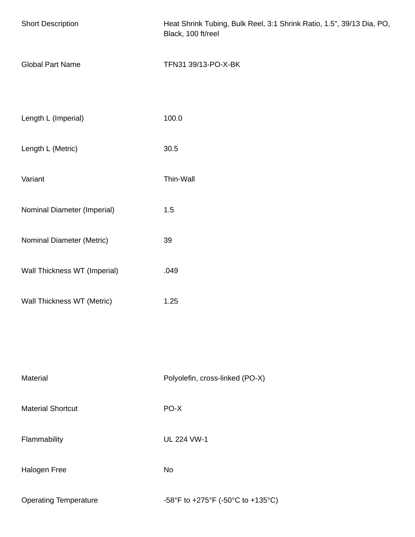| <b>Short Description</b>     | Heat Shrink Tubing, Bulk Reel, 3:1 Shrink Ratio, 1.5", 39/13 Dia, PO,<br>Black, 100 ft/reel |  |
|------------------------------|---------------------------------------------------------------------------------------------|--|
| <b>Global Part Name</b>      | TFN31 39/13-PO-X-BK                                                                         |  |
| Length L (Imperial)          | 100.0                                                                                       |  |
| Length L (Metric)            | 30.5                                                                                        |  |
| Variant                      | Thin-Wall                                                                                   |  |
| Nominal Diameter (Imperial)  | 1.5                                                                                         |  |
| Nominal Diameter (Metric)    | 39                                                                                          |  |
| Wall Thickness WT (Imperial) | .049                                                                                        |  |
| Wall Thickness WT (Metric)   | 1.25                                                                                        |  |
|                              |                                                                                             |  |
| Material                     | Polyolefin, cross-linked (PO-X)                                                             |  |
| <b>Material Shortcut</b>     | PO-X                                                                                        |  |
| Flammability                 | <b>UL 224 VW-1</b>                                                                          |  |
| Halogen Free                 | No                                                                                          |  |
| <b>Operating Temperature</b> | -58°F to +275°F (-50°C to +135°C)                                                           |  |